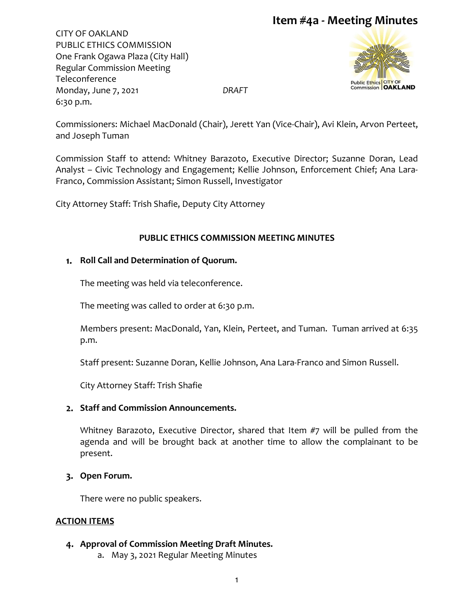CITY OF OAKLAND PUBLIC ETHICS COMMISSION One Frank Ogawa Plaza (City Hall) Regular Commission Meeting Teleconference Monday, June 7, 2021 *DRAFT* 6:30 p.m.





Commissioners: Michael MacDonald (Chair), Jerett Yan (Vice-Chair), Avi Klein, Arvon Perteet, and Joseph Tuman

Commission Staff to attend: Whitney Barazoto, Executive Director; Suzanne Doran, Lead Analyst – Civic Technology and Engagement; Kellie Johnson, Enforcement Chief; Ana Lara-Franco, Commission Assistant; Simon Russell, Investigator

City Attorney Staff: Trish Shafie, Deputy City Attorney

## **PUBLIC ETHICS COMMISSION MEETING MINUTES**

### **Roll Call and Determination of Quorum.**

The meeting was held via teleconference.

The meeting was called to order at 6:30 p.m.

Members present: MacDonald, Yan, Klein, Perteet, and Tuman. Tuman arrived at 6:35 p.m.

Staff present: Suzanne Doran, Kellie Johnson, Ana Lara-Franco and Simon Russell.

City Attorney Staff: Trish Shafie

### **Staff and Commission Announcements.**

Whitney Barazoto, Executive Director, shared that Item #7 will be pulled from the agenda and will be brought back at another time to allow the complainant to be present.

### **Open Forum.**

There were no public speakers.

## **ACTION ITEMS**

### **Approval of Commission Meeting Draft Minutes.**

a. May 3, 2021 Regular Meeting Minutes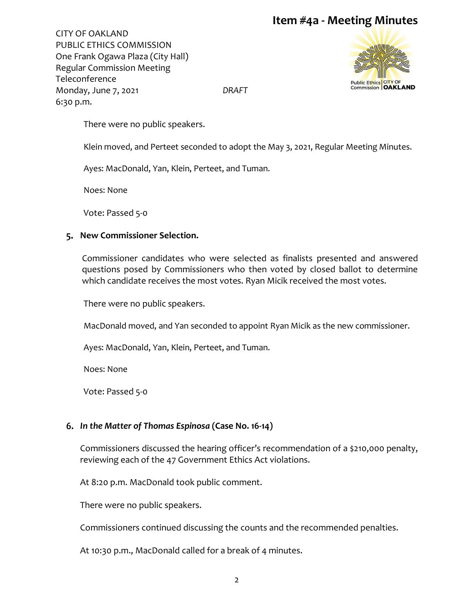CITY OF OAKLAND PUBLIC ETHICS COMMISSION One Frank Ogawa Plaza (City Hall) Regular Commission Meeting Teleconference Monday, June 7, 2021 *DRAFT* 6:30 p.m.



There were no public speakers.

Klein moved, and Perteet seconded to adopt the May 3, 2021, Regular Meeting Minutes.

Ayes: MacDonald, Yan, Klein, Perteet, and Tuman.

Noes: None

Vote: Passed 5-0

#### **New Commissioner Selection.**

Commissioner candidates who were selected as finalists presented and answered questions posed by Commissioners who then voted by closed ballot to determine which candidate receives the most votes. Ryan Micik received the most votes.

There were no public speakers.

MacDonald moved, and Yan seconded to appoint Ryan Micik as the new commissioner.

Ayes: MacDonald, Yan, Klein, Perteet, and Tuman.

Noes: None

Vote: Passed 5-0

### *In the Matter of Thomas Espinosa* **(Case No. 16-14)**

Commissioners discussed the hearing officer's recommendation of a \$210,000 penalty, reviewing each of the 47 Government Ethics Act violations.

At 8:20 p.m. MacDonald took public comment.

There were no public speakers.

Commissioners continued discussing the counts and the recommended penalties.

At 10:30 p.m., MacDonald called for a break of 4 minutes.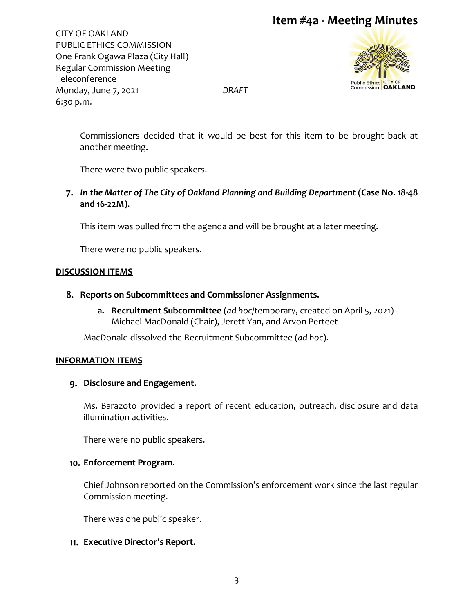CITY OF OAKLAND PUBLIC ETHICS COMMISSION One Frank Ogawa Plaza (City Hall) Regular Commission Meeting Teleconference Monday, June 7, 2021 *DRAFT* 6:30 p.m.



Commissioners decided that it would be best for this item to be brought back at another meeting.

There were two public speakers.

*In the Matter of The City of Oakland Planning and Building Department* **(Case No. 18-48 and 16-22M).**

This item was pulled from the agenda and will be brought at a later meeting.

There were no public speakers.

#### **DISCUSSION ITEMS**

- **Reports on Subcommittees and Commissioner Assignments.** 
	- **a. Recruitment Subcommittee** (*ad hoc*/temporary, created on April 5, 2021) Michael MacDonald (Chair), Jerett Yan, and Arvon Perteet

MacDonald dissolved the Recruitment Subcommittee (*ad hoc*).

#### **INFORMATION ITEMS**

#### **Disclosure and Engagement.**

Ms. Barazoto provided a report of recent education, outreach, disclosure and data illumination activities.

There were no public speakers.

#### **Enforcement Program.**

Chief Johnson reported on the Commission's enforcement work since the last regular Commission meeting.

There was one public speaker.

### **Executive Director's Report.**